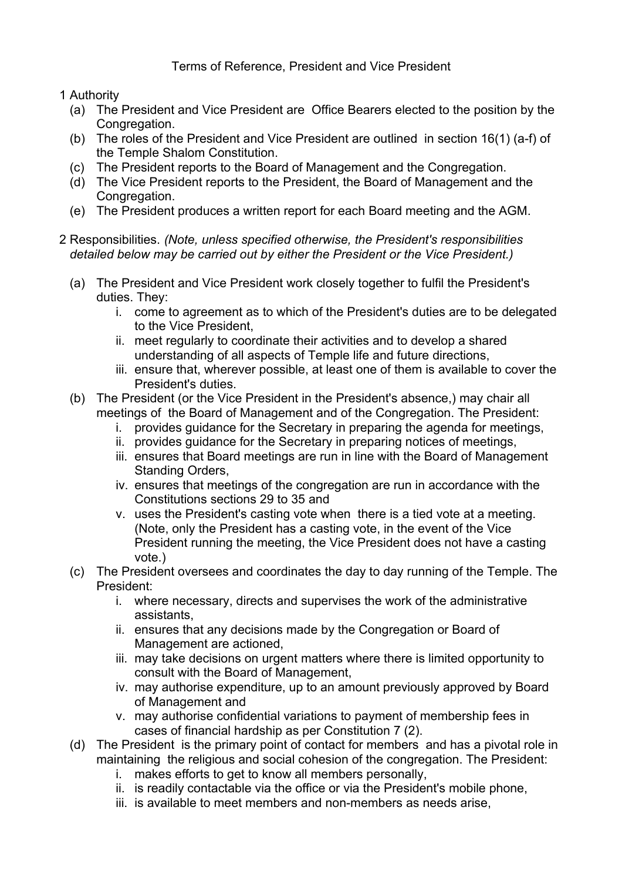Terms of Reference, President and Vice President

1 Authority

- (a) The President and Vice President are Office Bearers elected to the position by the Congregation.
- (b) The roles of the President and Vice President are outlined in section 16(1) (a-f) of the Temple Shalom Constitution.
- (c) The President reports to the Board of Management and the Congregation.
- (d) The Vice President reports to the President, the Board of Management and the Congregation.
- (e) The President produces a written report for each Board meeting and the AGM.

## 2 Responsibilities. *(Note, unless specified otherwise, the President's responsibilities detailed below may be carried out by either the President or the Vice President.)*

- (a) The President and Vice President work closely together to fulfil the President's duties. They:
	- i. come to agreement as to which of the President's duties are to be delegated to the Vice President,
	- ii. meet regularly to coordinate their activities and to develop a shared understanding of all aspects of Temple life and future directions,
	- iii. ensure that, wherever possible, at least one of them is available to cover the President's duties.
- (b) The President (or the Vice President in the President's absence,) may chair all meetings of the Board of Management and of the Congregation. The President:
	- i. provides guidance for the Secretary in preparing the agenda for meetings,
	- ii. provides guidance for the Secretary in preparing notices of meetings,
	- iii. ensures that Board meetings are run in line with the Board of Management Standing Orders,
	- iv. ensures that meetings of the congregation are run in accordance with the Constitutions sections 29 to 35 and
	- v. uses the President's casting vote when there is a tied vote at a meeting. (Note, only the President has a casting vote, in the event of the Vice President running the meeting, the Vice President does not have a casting vote.)
- (c) The President oversees and coordinates the day to day running of the Temple. The President:
	- i. where necessary, directs and supervises the work of the administrative assistants,
	- ii. ensures that any decisions made by the Congregation or Board of Management are actioned,
	- iii. may take decisions on urgent matters where there is limited opportunity to consult with the Board of Management,
	- iv. may authorise expenditure, up to an amount previously approved by Board of Management and
	- v. may authorise confidential variations to payment of membership fees in cases of financial hardship as per Constitution 7 (2).
- (d) The President is the primary point of contact for members and has a pivotal role in maintaining the religious and social cohesion of the congregation. The President:
	- i. makes efforts to get to know all members personally,
	- ii. is readily contactable via the office or via the President's mobile phone,
	- iii. is available to meet members and non-members as needs arise,